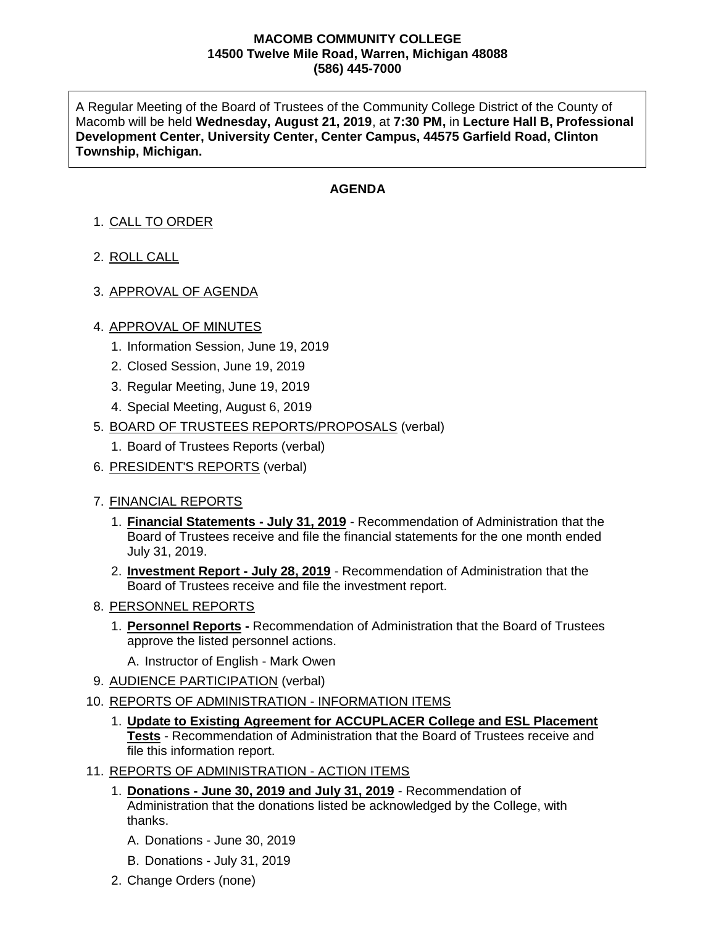## **MACOMB COMMUNITY COLLEGE 14500 Twelve Mile Road, Warren, Michigan 48088 (586) 445-7000**

A Regular Meeting of the Board of Trustees of the Community College District of the County of Macomb will be held **Wednesday, August 21, 2019**, at **7:30 PM,** in **Lecture Hall B, Professional Development Center, University Center, Center Campus, 44575 Garfield Road, Clinton Township, Michigan.**

## **AGENDA**

- 1. CALL TO ORDER
- 2. ROLL CALL
- 3. APPROVAL OF AGENDA

## 4. APPROVAL OF MINUTES

- 1. Information Session, June 19, 2019
- 2. Closed Session, June 19, 2019
- 3. Regular Meeting, June 19, 2019
- 4. Special Meeting, August 6, 2019
- 5. BOARD OF TRUSTEES REPORTS/PROPOSALS (verbal)
	- 1. Board of Trustees Reports (verbal)
- 6. PRESIDENT'S REPORTS (verbal)
- 7. FINANCIAL REPORTS
	- 1. **Financial Statements - July 31, 2019** Recommendation of Administration that the Board of Trustees receive and file the financial statements for the one month ended July 31, 2019.
	- 2. **Investment Report - July 28, 2019** Recommendation of Administration that the Board of Trustees receive and file the investment report.
- 8. PERSONNEL REPORTS
	- 1. **Personnel Reports -** Recommendation of Administration that the Board of Trustees approve the listed personnel actions.
		- A. Instructor of English Mark Owen
- 9. AUDIENCE PARTICIPATION (verbal)
- 10. REPORTS OF ADMINISTRATION INFORMATION ITEMS
	- 1. **Update to Existing Agreement for ACCUPLACER College and ESL Placement Tests** - Recommendation of Administration that the Board of Trustees receive and file this information report.
- 11. REPORTS OF ADMINISTRATION ACTION ITEMS
	- 1. **Donations - June 30, 2019 and July 31, 2019** Recommendation of Administration that the donations listed be acknowledged by the College, with thanks.
		- A. Donations June 30, 2019
		- B. Donations July 31, 2019
	- 2. Change Orders (none)